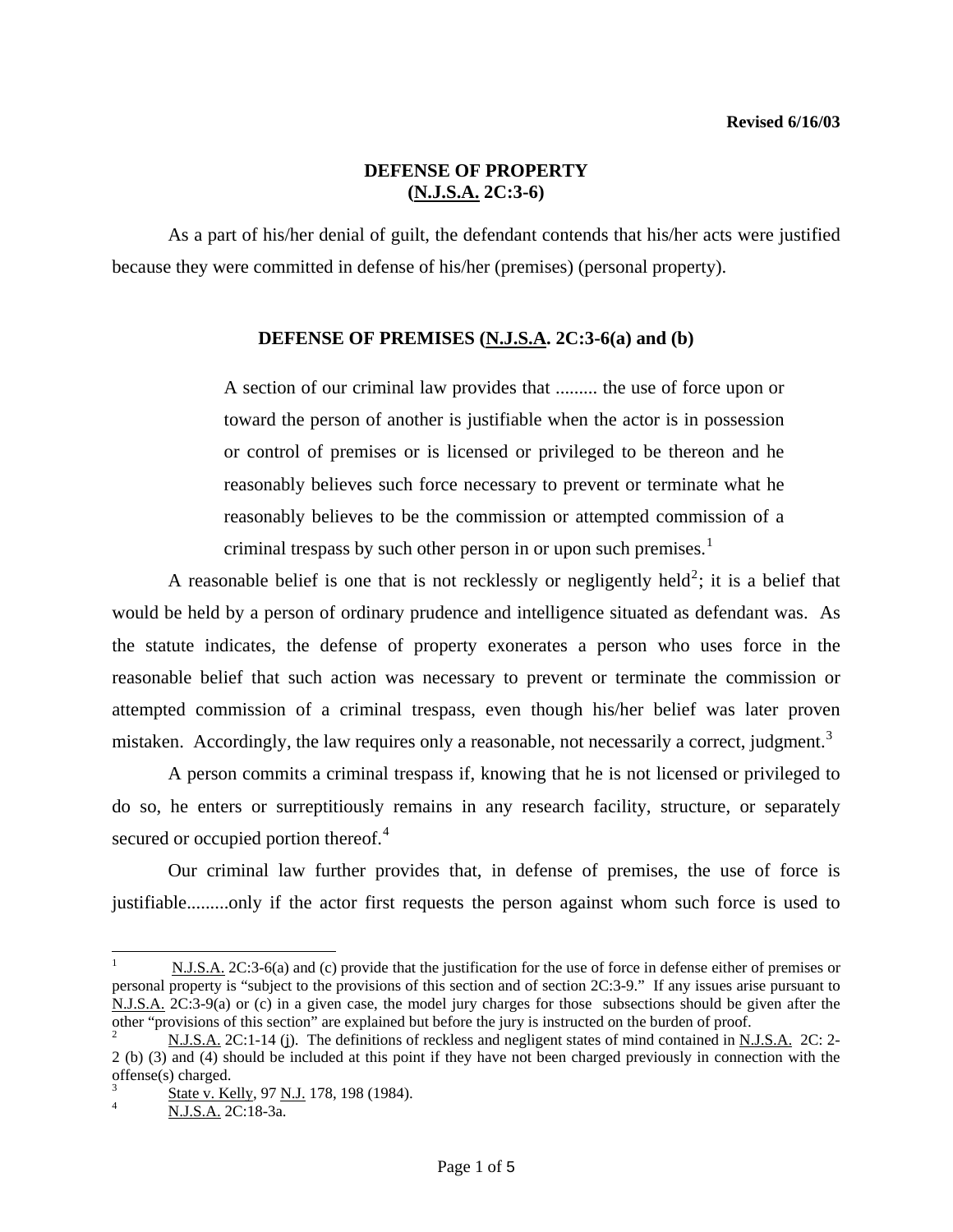## **DEFENSE OF PROPERTY (N.J.S.A. 2C:3-6)**

 As a part of his/her denial of guilt, the defendant contends that his/her acts were justified because they were committed in defense of his/her (premises) (personal property).

### **DEFENSE OF PREMISES (N.J.S.A. 2C:3-6(a) and (b)**

A section of our criminal law provides that ......... the use of force upon or toward the person of another is justifiable when the actor is in possession or control of premises or is licensed or privileged to be thereon and he reasonably believes such force necessary to prevent or terminate what he reasonably believes to be the commission or attempted commission of a criminal trespass by such other person in or upon such premises.<sup>[1](#page-0-0)</sup>

A reasonable belief is one that is not recklessly or negligently held<sup>[2](#page-0-1)</sup>; it is a belief that would be held by a person of ordinary prudence and intelligence situated as defendant was. As the statute indicates, the defense of property exonerates a person who uses force in the reasonable belief that such action was necessary to prevent or terminate the commission or attempted commission of a criminal trespass, even though his/her belief was later proven mistaken. Accordingly, the law requires only a reasonable, not necessarily a correct, judgment.<sup>[3](#page-0-2)</sup>

 A person commits a criminal trespass if, knowing that he is not licensed or privileged to do so, he enters or surreptitiously remains in any research facility, structure, or separately secured or occupied portion thereof.<sup>[4](#page-0-3)</sup>

 Our criminal law further provides that, in defense of premises, the use of force is justifiable.........only if the actor first requests the person against whom such force is used to

l

<span id="page-0-0"></span><sup>1</sup> N.J.S.A. 2C:3-6(a) and (c) provide that the justification for the use of force in defense either of premises or personal property is "subject to the provisions of this section and of section 2C:3-9." If any issues arise pursuant to N.J.S.A. 2C:3-9(a) or (c) in a given case, the model jury charges for those subsections should be given after the other "provisions of this section" are explained but before the jury is instructed on the burden of proof.

<span id="page-0-1"></span><sup>2</sup> N.J.S.A. 2C:1-14 (j). The definitions of reckless and negligent states of mind contained in N.J.S.A. 2C: 2- 2 (b) (3) and (4) should be included at this point if they have not been charged previously in connection with the offense(s) charged.

<span id="page-0-4"></span><span id="page-0-3"></span><span id="page-0-2"></span><sup>3</sup>  $\frac{3}{4}$  State v. Kelly, 97 N.J. 178, 198 (1984).

N.J.S.A. 2C:18-3a.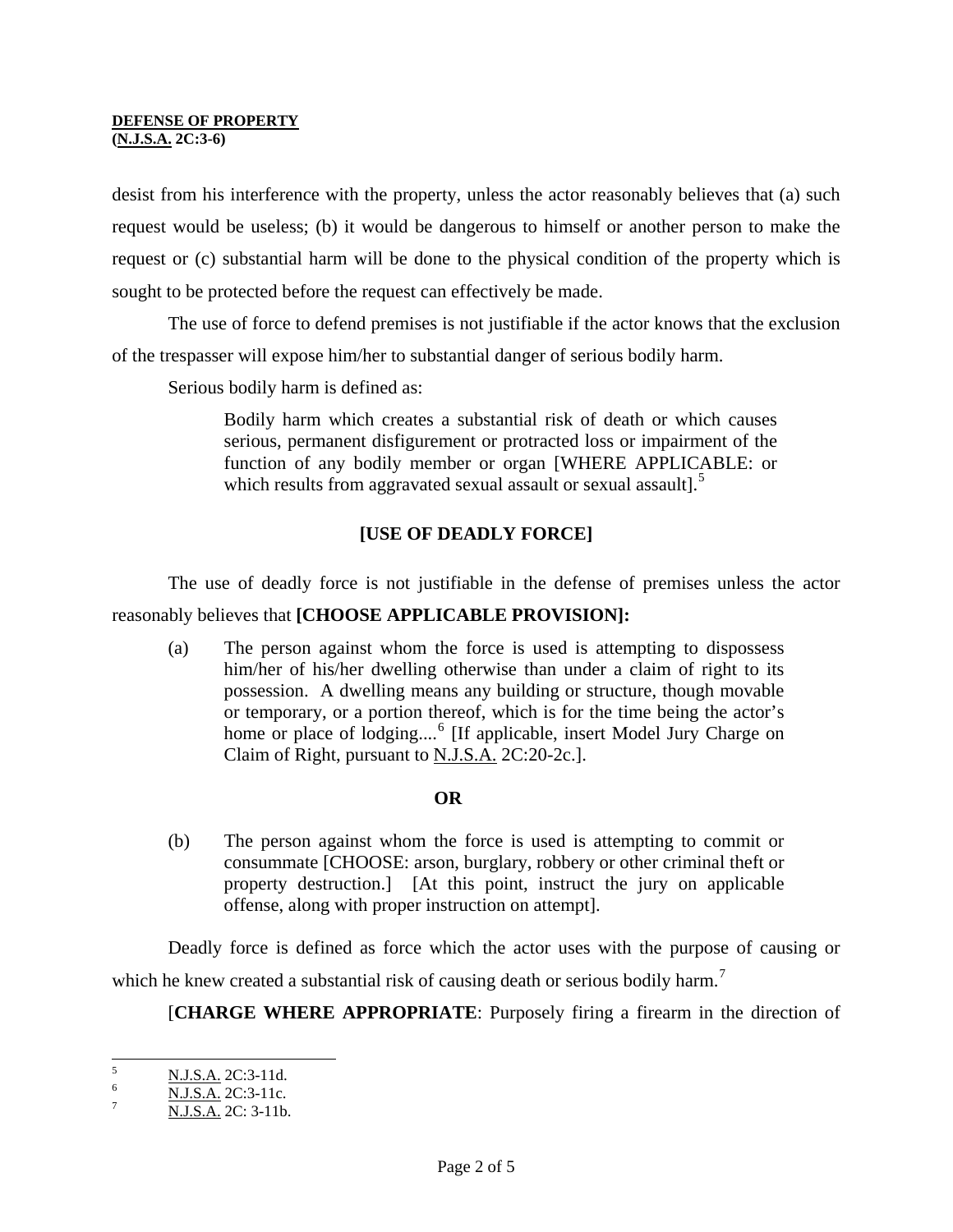#### **DEFENSE OF PROPERTY (N.J.S.A. 2C:3-6)**

desist from his interference with the property, unless the actor reasonably believes that (a) such request would be useless; (b) it would be dangerous to himself or another person to make the request or (c) substantial harm will be done to the physical condition of the property which is sought to be protected before the request can effectively be made.

 The use of force to defend premises is not justifiable if the actor knows that the exclusion of the trespasser will expose him/her to substantial danger of serious bodily harm.

Serious bodily harm is defined as:

Bodily harm which creates a substantial risk of death or which causes serious, permanent disfigurement or protracted loss or impairment of the function of any bodily member or organ [WHERE APPLICABLE: or which results from aggravated sexual assault or sexual assault].<sup>[5](#page-0-4)</sup>

# **[USE OF DEADLY FORCE]**

 The use of deadly force is not justifiable in the defense of premises unless the actor reasonably believes that **[CHOOSE APPLICABLE PROVISION]:**

 (a) The person against whom the force is used is attempting to dispossess him/her of his/her dwelling otherwise than under a claim of right to its possession. A dwelling means any building or structure, though movable or temporary, or a portion thereof, which is for the time being the actor's home or place of lodging....<sup>[6](#page-1-0)</sup> [If applicable, insert Model Jury Charge on Claim of Right, pursuant to N.J.S.A. 2C:20-2c.].

## **OR**

(b) The person against whom the force is used is attempting to commit or consummate [CHOOSE: arson, burglary, robbery or other criminal theft or property destruction.] [At this point, instruct the jury on applicable offense, along with proper instruction on attempt].

Deadly force is defined as force which the actor uses with the purpose of causing or which he knew created a substantial risk of causing death or serious bodily harm.<sup>[7](#page-1-1)</sup>

[**CHARGE WHERE APPROPRIATE**: Purposely firing a firearm in the direction of

<span id="page-1-2"></span> 5 N.J.S.A. 2C:3-11d. 6

<span id="page-1-0"></span> $\frac{N.J.S.A.}{N.I.S.A.}$  2C:3-11c.

<span id="page-1-1"></span>N.J.S.A. 2C: 3-11b.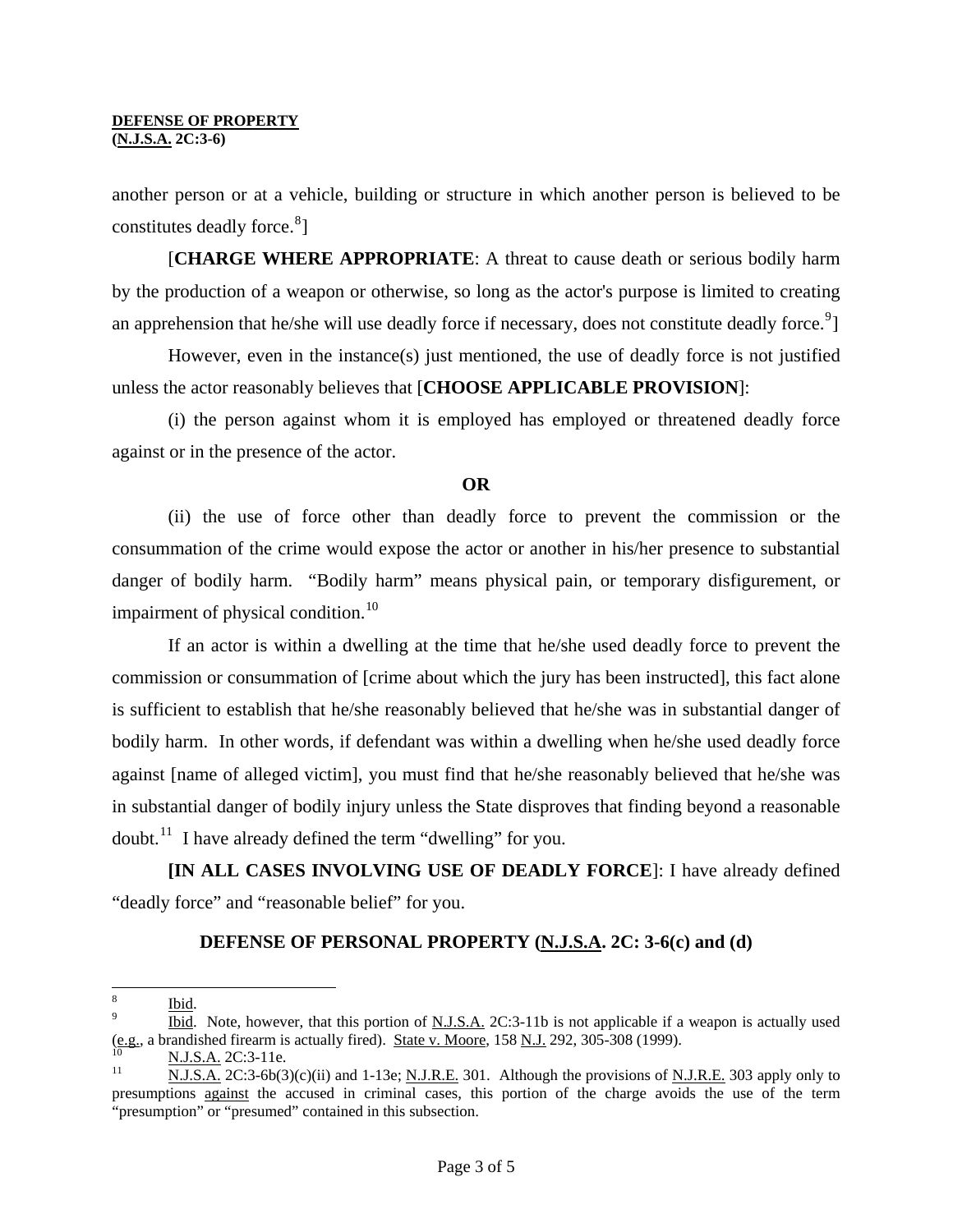another person or at a vehicle, building or structure in which another person is believed to be constitutes deadly force.<sup>[8](#page-1-2)</sup>]

 [**CHARGE WHERE APPROPRIATE**: A threat to cause death or serious bodily harm by the production of a weapon or otherwise, so long as the actor's purpose is limited to creating an apprehension that he/she will use deadly force if necessary, does not constitute deadly force.<sup>[9](#page-2-0)</sup>]

 However, even in the instance(s) just mentioned, the use of deadly force is not justified unless the actor reasonably believes that [**CHOOSE APPLICABLE PROVISION**]:

 (i) the person against whom it is employed has employed or threatened deadly force against or in the presence of the actor.

### **OR**

(ii) the use of force other than deadly force to prevent the commission or the consummation of the crime would expose the actor or another in his/her presence to substantial danger of bodily harm. "Bodily harm" means physical pain, or temporary disfigurement, or impairment of physical condition. $^{10}$  $^{10}$  $^{10}$ 

 If an actor is within a dwelling at the time that he/she used deadly force to prevent the commission or consummation of [crime about which the jury has been instructed], this fact alone is sufficient to establish that he/she reasonably believed that he/she was in substantial danger of bodily harm. In other words, if defendant was within a dwelling when he/she used deadly force against [name of alleged victim], you must find that he/she reasonably believed that he/she was in substantial danger of bodily injury unless the State disproves that finding beyond a reasonable doubt.<sup>[11](#page-2-2)</sup> I have already defined the term "dwelling" for you.

**[IN ALL CASES INVOLVING USE OF DEADLY FORCE**]: I have already defined "deadly force" and "reasonable belief" for you.

## **DEFENSE OF PERSONAL PROPERTY (N.J.S.A. 2C: 3-6(c) and (d)**

 8 Ibid. <sup>9</sup>

<span id="page-2-0"></span>Ibid. Note, however, that this portion of N.J.S.A. 2C:3-11b is not applicable if a weapon is actually used (e.g., a brandished firearm is actually fired). <u>State v. Moore</u>, 158 <u>N.J.</u> 292, 305-308 (1999).<br><sup>10</sup> N.J.S.A. 2C:3-6b(3)(c)(ii) and 1-13e; N.J.R.E. 301. Although the provisions of N.J.R.E. 303 apply only to

<span id="page-2-1"></span>

<span id="page-2-3"></span><span id="page-2-2"></span>presumptions against the accused in criminal cases, this portion of the charge avoids the use of the term "presumption" or "presumed" contained in this subsection.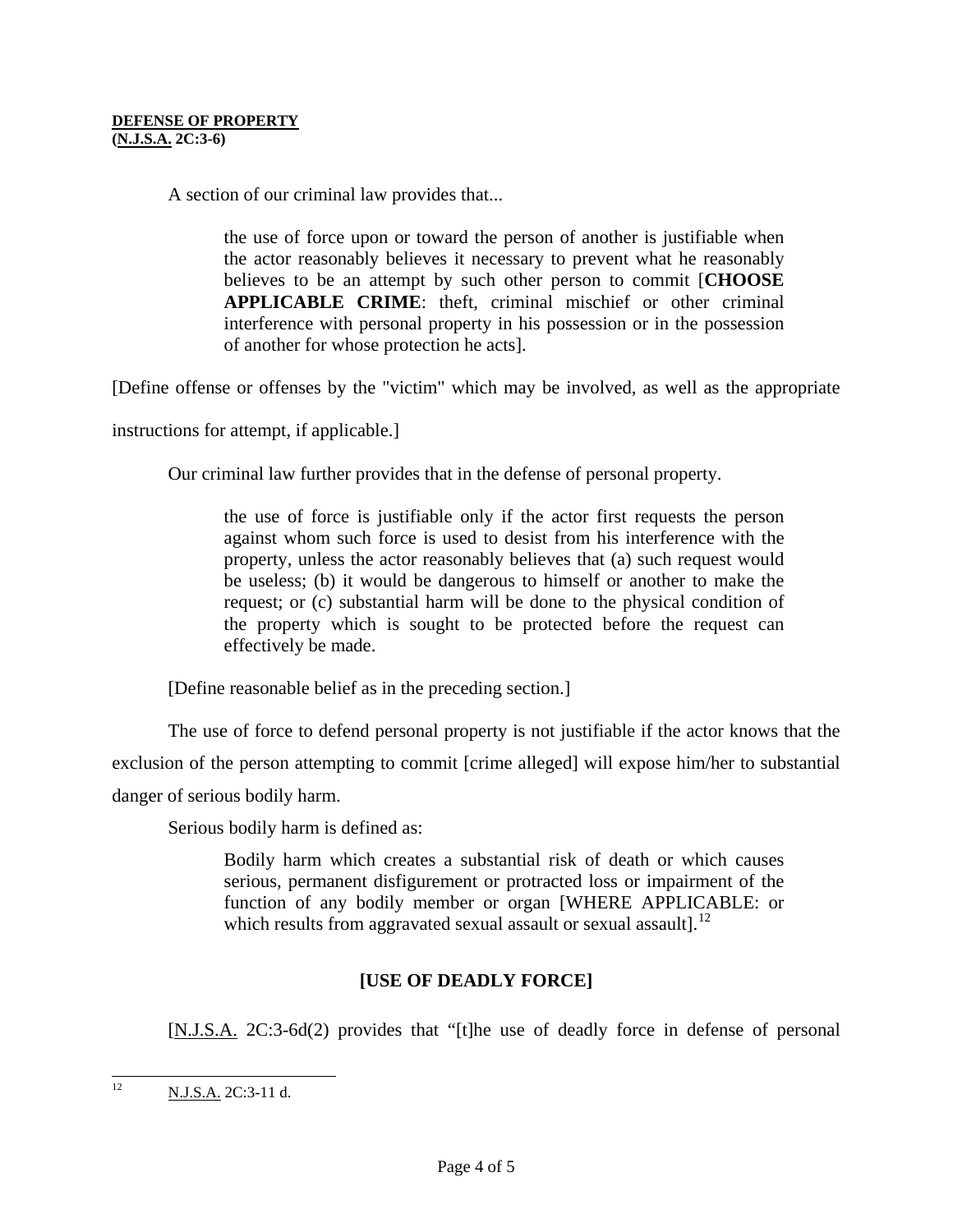A section of our criminal law provides that...

the use of force upon or toward the person of another is justifiable when the actor reasonably believes it necessary to prevent what he reasonably believes to be an attempt by such other person to commit [**CHOOSE APPLICABLE CRIME**: theft, criminal mischief or other criminal interference with personal property in his possession or in the possession of another for whose protection he acts].

[Define offense or offenses by the "victim" which may be involved, as well as the appropriate

instructions for attempt, if applicable.]

Our criminal law further provides that in the defense of personal property.

the use of force is justifiable only if the actor first requests the person against whom such force is used to desist from his interference with the property, unless the actor reasonably believes that (a) such request would be useless; (b) it would be dangerous to himself or another to make the request; or (c) substantial harm will be done to the physical condition of the property which is sought to be protected before the request can effectively be made.

[Define reasonable belief as in the preceding section.]

 The use of force to defend personal property is not justifiable if the actor knows that the exclusion of the person attempting to commit [crime alleged] will expose him/her to substantial danger of serious bodily harm.

Serious bodily harm is defined as:

Bodily harm which creates a substantial risk of death or which causes serious, permanent disfigurement or protracted loss or impairment of the function of any bodily member or organ [WHERE APPLICABLE: or which results from aggravated sexual assault or sexual assault]. $^{12}$  $^{12}$  $^{12}$ 

## **[USE OF DEADLY FORCE]**

[N.J.S.A. 2C:3-6d(2) provides that "[t]he use of deadly force in defense of personal

 $12<sup>12</sup>$ 12 N.J.S.A. 2C:3-11 d.